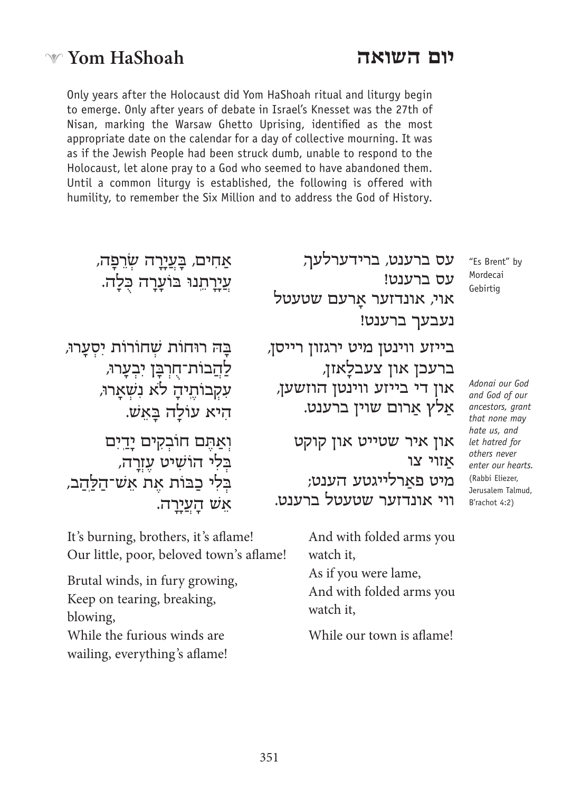# **יום השואה**

Only years after the Holocaust did Yom HaShoah ritual and liturgy begin to emerge. Only after years of debate in Israel's Knesset was the 27th of Nisan, marking the Warsaw Ghetto Uprising, identified as the most appropriate date on the calendar for a day of collective mourning. It was as if the Jewish People had been struck dumb, unable to respond to the Holocaust, let alone pray to a God who seemed to have abandoned them. Until a common liturgy is established, the following is offered with humility, to remember the Six Million and to address the God of History.

> "Es Brent" by Mordecai Gebirtig

 *God our Adonai* and God of our ancestors, grant that none may *hate* us, and let hatred for  *never others enter our hearts.* (Rabbi Eliezer. Jerusalem Talmud, B'rachot 4:2)

עס ברענט, ברידערלעך, עס ברענט! אוי, אונדזער אַרעם שטעטל נעבעך ברענט!

בייזע ווינטן מיט ירגזון רייסן, ברעכן און צעבלאזן, און די בייזע ווינטן הוזשען, אַלץ אַרום שוין ברענט.

און איר שטייט און קוקט אַ זוי צו מיט פאַ רלייגטע הענט; ווי אונדזער שטעטל ברענט.

> And with folded arms you watch it, As if you were lame, And with folded arms you watch it. While our town is aflame!

**W** Yom **HaShoah** 

עֲיַרַתֵנוּ בּוֹעַרַה כִּלַה. ּבָּ ה רוּחוֹת שׁ ְ חוֹ רוֹת יִ סְ עָ רו,ּ לַהֲבוֹת־חִרְבֵּן יִבְעֲרוּ, עִקְבוֹתֱיהַ לֹא נִשְׁאֲרוּ,

אַחִים*, בַּעֲיַרַה שְׂרֵפַּה,* 

הִיא עוֹלַה בַּאַשׁ.

וְאַתֵּם חוֹבְקִים יַדֵיִם בְּלִי הוֹשִׁיט עֲזְרַה, ּ בְּ לִ י כַ בּ וֹת אֶ ת אֵ שׁ ־הַ ל ַ ֽהַ ב, אֵ שׁ הָ עֲ יָ רָ ה.

It's burning, brothers, it's aflame! Our little, poor, beloved town's aflame!

Brutal winds, in fury growing, Keep on tearing, breaking, blowing, While the furious winds are wailing, everything's aflame!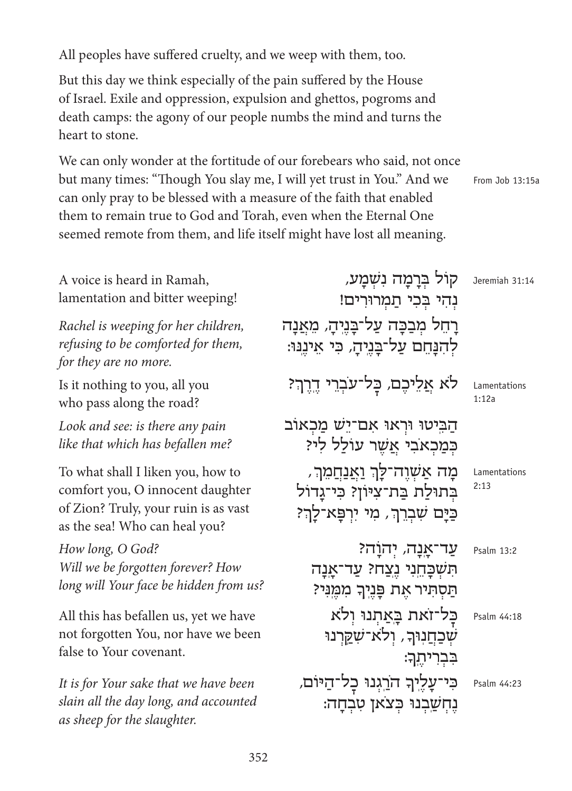All peoples have suffered cruelty, and we weep with them, too.

But this day we think especially of the pain suffered by the House of Israel. Exile and oppression, expulsion and ghettos, pogroms and death camps: the agony of our people numbs the mind and turns the heart to stone.

We can only wonder at the fortitude of our forebears who said, not once but many times: "Though You slay me, I will yet trust in You." And we can only pray to be blessed with a measure of the faith that enabled them to remain true to God and Torah, even when the Eternal One seemed remote from them, and life itself might have lost all meaning.

From Job 13:15a

| A voice is heard in Ramah,<br>lamentation and bitter weeping!                                                                                  | קול ברמה נשמע,<br>נְהִי בְכִי תַמְרוּרִים!                                                                  | Jeremiah 31:14        |
|------------------------------------------------------------------------------------------------------------------------------------------------|-------------------------------------------------------------------------------------------------------------|-----------------------|
| Rachel is weeping for her children,<br>refusing to be comforted for them,<br>for they are no more.                                             | רַחֵל מִבַּכַּה עַל־בַּנֵיהַ, מֵאֲנָה<br>לְהִנָּחֵם עַל־בַּנֵיהַ, כִּי אֵינֵנּוּ:                           |                       |
| Is it nothing to you, all you<br>who pass along the road?                                                                                      | לא אַלֵיכֵם, כָּל־עֹבְרֵי דֵרֵךְ?                                                                           | Lamentations<br>1:12a |
| Look and see: is there any pain<br>like that which has befallen me?                                                                            | הַבִּיטוּ וּרְאוּ אִם־יָשׁ מַכְאוֹב<br>כמכאבי אַשֶר עולַל לי?                                               |                       |
| To what shall I liken you, how to<br>comfort you, O innocent daughter<br>of Zion? Truly, your ruin is as vast<br>as the sea! Who can heal you? | מַה אַשְׁוֵה־לַךְ וַ <u>אֲנַח</u> ָמֵךְ,<br>בתולת בת־ציון? כי־גדול<br>כַּיַּם שִׁבְרֵךְ, מִי יִרְפַּא־לַךְ? | Lamentations<br>2:13  |
| How long, O God?<br>Will we be forgotten forever? How<br>long will Your face be hidden from us?                                                | עַר־אֲנָה, יְהוַׂה?<br>הִשְׁבָּחֵנִי נֵצֲחֹ? עַד־אַנַה<br>הַסְהִיר אֶת פָּנֶיךָ מִמֶּנִּי?                  | Psalm 13:2            |
| All this has befallen us, yet we have<br>not forgotten You, nor have we been<br>false to Your covenant.                                        | כל־זאת באַתנו ולא<br>שכחנור, ולא־שַקַרנוּ<br>בִּבְרִיחֵךָ:                                                  | Psalm 44:18           |
| It is for Your sake that we have been<br>slain all the day long, and accounted<br>as sheep for the slaughter.                                  | כִּי־עָלֶיךָ הֹרֵגְנוּ כָל־הַיּוֹם,<br>נֵחִשֲבִנוּ כִּצֹאן טִבְחָה:                                         | Psalm 44:23           |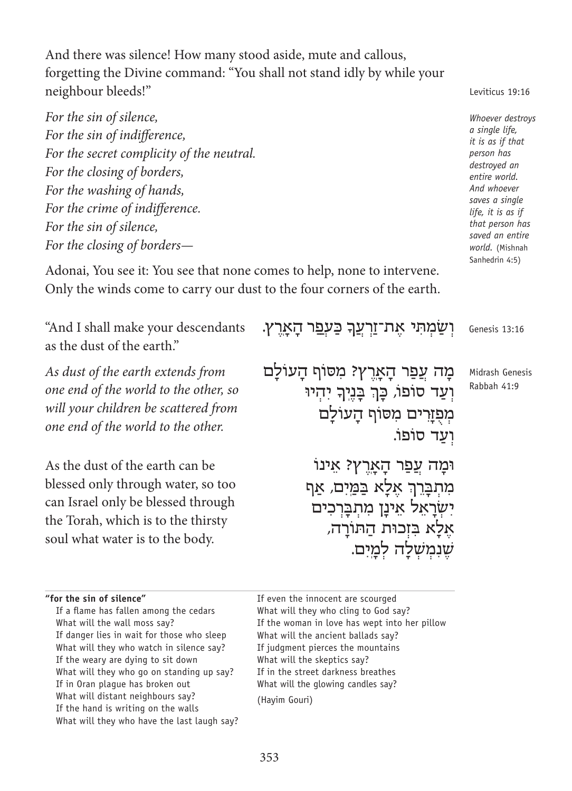And there was silence! How many stood aside, mute and callous, forgetting the Divine command: "You shall not stand idly by while your neighbour bleeds!"

*For the sin of silence, For the sin of indifference,* For the secret complicity of the neutral. *For the closing of borders,* For the washing of hands, *For the crime of indifference. For the sin of silence, For the closing of borders—* 

Adonai, You see it: You see that none comes to help, none to intervene. Only the winds come to carry our dust to the four corners of the earth.

יְשַׂמְתִּי אֶת־זַרְעֲךָ כַּעְ<u>פ</u>ִר הָאָרֶץ. מַה עֲפַר הַאַרֵץ? מִסּוֹף הַעוֹלַם יִ<br>וְעַד סוֹפוֹ, כָּךְ בָּנֶיְךָ יִהְיוּ מְפְזָרִים מִסּוֹף הָעוֹלַם וֹעד סוֹפוֹ. וּמַה עֲפַר הַאַרֶץ? אִינוֹ מִתְבָרֵךְ אֶלָא בַּמַּיִם*,* אַף יִשְׂרַאֵל אֵינַן מִתְבַּרְכִים ּ אֶ לָ א בִּ זְכוּת הַ תוֹ רָ ה, שׁנמשלה למים. "And I shall make your descendants as the dust of the earth." *As dust of the earth extends from one end of the world to the other, so will your children be scattered from one end of the world to the other.* As the dust of the earth can be blessed only through water, so too can Israel only be blessed through the Torah, which is to the thirsty soul what water is to the body. Genesis 13:16 Midrash Genesis Rabbah 41:9

"for the sin of silence"

If a flame has fallen among the cedars What will the wall moss say? If danger lies in wait for those who sleep What will they who watch in silence say? If the weary are dying to sit down What will they who go on standing up say? If in Oran plaque has broken out What will distant neighbours say? If the hand is writing on the walls What will they who have the last laugh say? If even the innocent are scourged What will they who cling to God say? If the woman in love has wept into her pillow What will the ancient ballads say? If judgment pierces the mountains What will the skeptics say? If in the street darkness breathes What will the glowing candles say? (Hayim Gouri)

 *destroys Whoever*  $a$  single life, *it is as if that has person* destroyed an entire world. And whoever  *single a saves life*, *it is as if* that person has saved an entire world. (Mishnah Sanhedrin 4:5)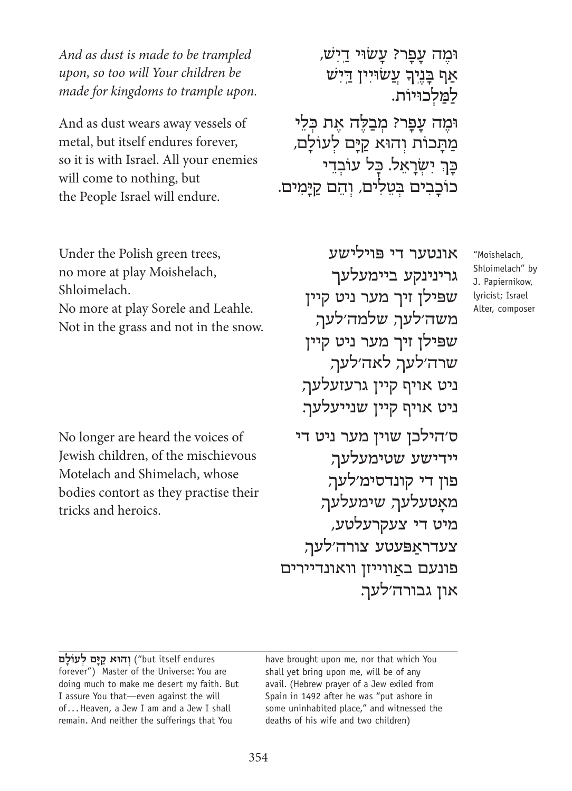And as dust is made to be trampled *upon, so too will Your children be made for kingdoms to trample upon.* 

And as dust wears away vessels of metal, but itself endures forever, so it is with Israel. All your enemies will come to nothing, but the People Israel will endure.

Under the Polish green trees, no more at play Moishelach, .Shloimelach No more at play Sorele and Leahle. Not in the grass and not in the snow.

No longer are heard the voices of Jewish children, of the mischievous Motelach and Shimelach, whose bodies contort as they practise their tricks and heroics.

וּמֵה עַפַר? עַשׂוּי דַיִשׁ, אַף בָּנֶיךָ עֲשׂוּיִין <u>ד</u>ִישׁ למלכוּיוֹת. ּוּמֶה עָפָר? מְבַלֶּה אֶת כְּלֵי מתכות והוּא קיִם לִעוֹלַם, כָּךְ יִשְׂרָאֵל. כָּל עוֹבְדֵי כוֹכַבְים בְּטֵלִים, וְהֵם קַיַּמִים.

אונטער די פּ וילישע גרינינקע ביימעלעך שפּ ילן זיך מער ניט קיין משה'לעך, שלמה'לעך, שפּ ילן זיך מער ניט קיין שרה'לעך, לאה'לעך, ניט אויף קיין גרעזעלעך, ניט אויף קיין שנייעלעך. ס'הילכן שוין מער ניט די יידישע שטימעלעך, פון די קונדסימ'לעך, מאַטעלעך, שימעלעך, מיט די צעקרעלטע, צעדראַ פּ עטע צורה'לעך, פונעם באווייזן וואונדיירים און גבורה'לעך.

"Moishelach, Shloimelach" by J. Papiernikow, lyricist: Israel Alter, composer

 endures itself but ("**ּ וְ הו ּ א קַ י ָ ם לְ עוֹ לָ ם** forever") Master of the Universe: You are doing much to make me desert my faith. But I assure You that-even against the will of... Heaven, a Jew I am and a Jew I shall remain. And neither the sufferings that You

have brought upon me, nor that which You shall yet bring upon me, will be of any avail. (Hebrew prayer of a Jew exiled from Spain in 1492 after he was "put ashore in some uninhabited place," and witnessed the deaths of his wife and two children)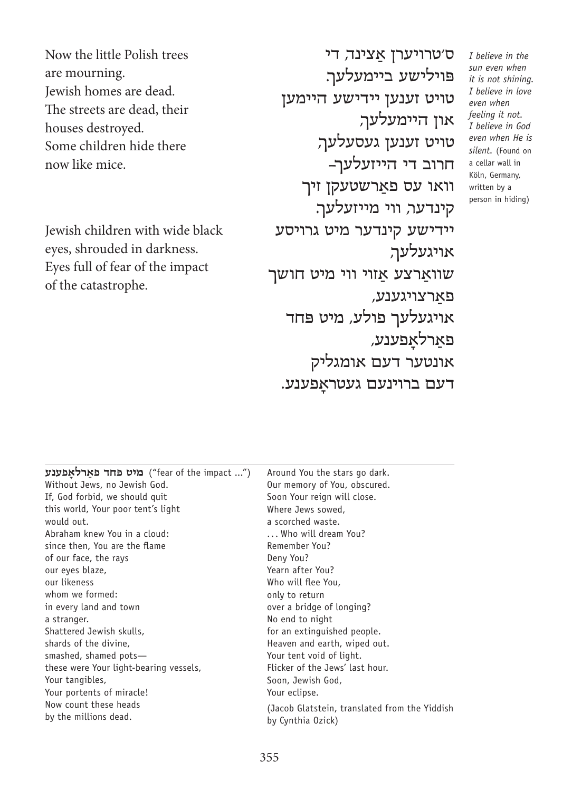Now the little Polish trees are mourning. Jewish homes are dead. The streets are dead, their houses destroyed. Some children hide there now like mice.

Jewish children with wide black eyes, shrouded in darkness. Eyes full of fear of the impact of the catastrophe.

ס'טרויערן אַ צינד, די פּ וילישע ביימעלעך. טויט זענען יידישע היימען און היימעלעך, טויט זענען געסעלעך, חרוב די הייזעלעך— וואו עס פארשטעקן זיך קינדער, ווי מייזעלעך. יידישע קינדער מיט גרויסע אויגעלעך, שוואַרצע אַזוי ווי מיט חושך פארצויגענע, אויגעלעך פולע, מיט פּחד פאַ רלאָ פענע, אונטער דעם אומגליק דעם ברוינעם געטראָ פענע.

| מיט פחד פאַרלאַפענע ("fear of the impact ") | Around You the stars go dark.                 |
|---------------------------------------------|-----------------------------------------------|
| Without Jews, no Jewish God.                | Our memory of You, obscured.                  |
| If, God forbid, we should quit              | Soon Your reign will close.                   |
| this world, Your poor tent's light          | Where Jews sowed,                             |
| would out.                                  | a scorched waste.                             |
| Abraham knew You in a cloud:                | Who will dream You?                           |
| since then, You are the flame               | Remember You?                                 |
| of our face, the rays                       | Deny You?                                     |
| our eyes blaze,                             | Yearn after You?                              |
| our likeness                                | Who will flee You,                            |
| whom we formed:                             | only to return                                |
| in every land and town                      | over a bridge of longing?                     |
| a stranger.                                 | No end to night                               |
| Shattered Jewish skulls,                    | for an extinguished people.                   |
| shards of the divine,                       | Heaven and earth, wiped out.                  |
| smashed, shamed pots-                       | Your tent void of light.                      |
| these were Your light-bearing vessels,      | Flicker of the Jews' last hour.               |
| Your tanqibles,                             | Soon, Jewish God,                             |
| Your portents of miracle!                   | Your eclipse.                                 |
| Now count these heads                       | (Jacob Glatstein, translated from the Yiddish |
| by the millions dead.                       | by Cynthia Ozick)                             |
|                                             |                                               |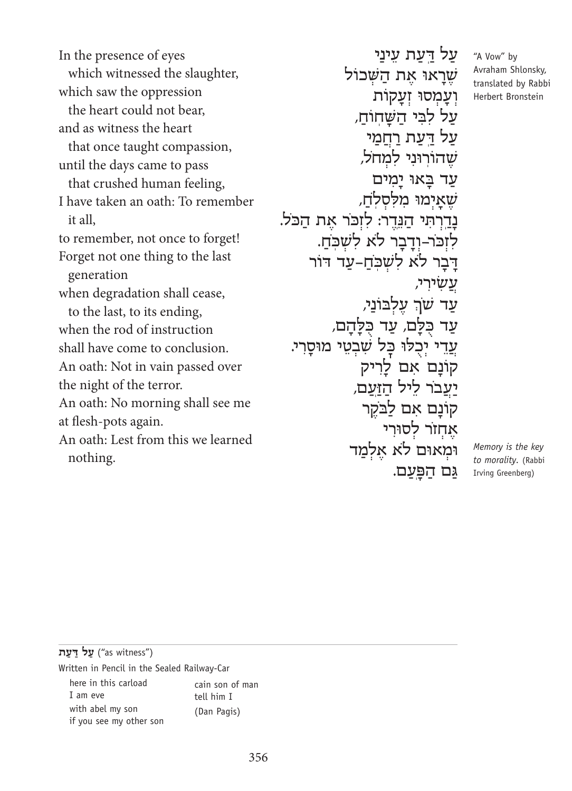In the presence of eyes which witnessed the slaughter, which saw the oppression the heart could not bear. and as witness the heart that once taught compassion, until the days came to pass that crushed human feeling, I have taken an oath: To remember it all. to remember, not once to forget! Forget not one thing to the last generation when degradation shall cease, to the last, to its ending, when the rod of instruction shall have come to conclusion. An oath: Not in vain passed over the night of the terror. An oath: No morning shall see me at flesh-pots again. An oath: Lest from this we learned .nothing

על דעת עיני שֵׁרָאוּ אֶת הַשָּׁכוֹל וְ עֲמְסוּ זְעֲקוֹת על לבי השחוֹח, על דעת רחמי שֵׁהוֹרוּנִי למחל, עַד בַּאוּ יַמִים שׁ אַיְמוּ מלסלח, ּ נַדֵרְתִּי הַנֵּדֶר: לִזְכֹּר אֶת הַכֹּל. לזכּר–ודבר לֹא לֹשכּח. דִּבְר לֹא לֹשְׁכַח-עַד דוֹר עשׂירי, .<br>עַד שך עֶלְבּוֹנַי*,* ּ עַד כַּלָּם, עַד כַּלָּהַם, עֲדֵי יִכְלוּ כָּל שְׁבְטֵי מוּסַרִי. קוֹנַם אִם לַרִיק יעבֹר ליל הזעם, קוֹנַם אִם לַבֹּקֶר אַחזֹר לסוּרי וּמְאוּם לֹא אַלְמִד גם הפעם.

"A Vow" by Avraham Shlonsky, translated by Rabbi Herbert Bronstein

*Memory* is the key  $to$  *morality*. (Rabbi Irving Greenberg)

("as witness") **על דעת** 

Written in Pencil in the Sealed Railway-Car

here in this carload I am eve with abel my son if you see my other son cain son of man tell him I (Dan Pagis)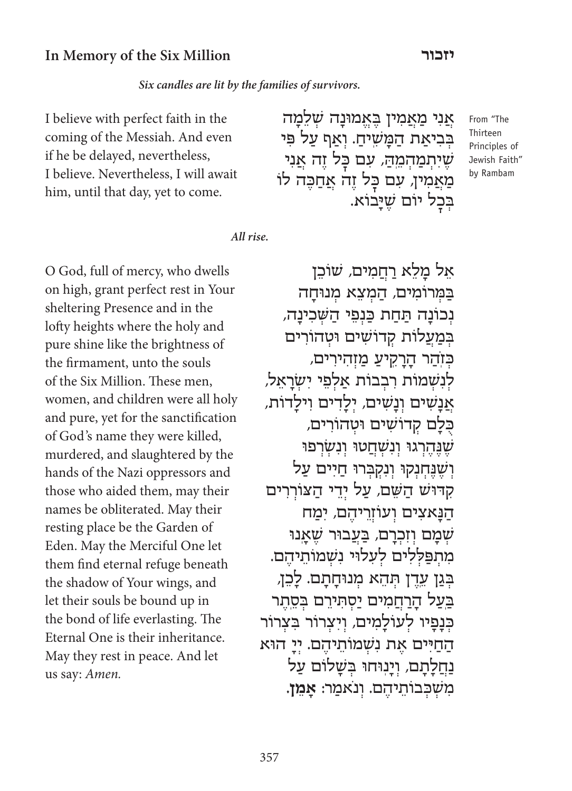#### **יזכור In Memory of the Six Million**

Six candles are lit by the families of survivors.

I believe with perfect faith in the coming of the Messiah. And even if he be delayed, nevertheless, I believe. Nevertheless, I will await him, until that day, yet to come.

*All* rise.

O God, full of mercy, who dwells on high, grant perfect rest in Your sheltering Presence and in the lofty heights where the holy and pure shine like the brightness of the firmament, unto the souls of the Six Million. These men, women, and children were all holy and pure, yet for the sanctification of God's name they were killed, murdered, and slaughtered by the hands of the Nazi oppressors and those who aided them, may their names be obliterated. May their resting place be the Garden of Eden. May the Merciful One let them find eternal refuge beneath the shadow of Your wings, and let their souls be bound up in the bond of life everlasting. The Eternal One is their inheritance. May they rest in peace. And let us say: Amen.

From "The Thirteen Principles of Jewish Faith" by Rambam

אל מלא רחמים, שוֹכן במרוֹמים, המצא מנוּחה ּ נְכוֹנַה תַּחַת כַּנְפֵי הַשָּׁכִינַה*,* במעלות קדוֹשים וּטהוֹרים כּזֹהֹר הרקיע מזהירים, לְנִשְׁמוֹת רִבְבוֹת אַלְפֵי יִשְׂרָאֵל, אֲ נָשׁ ִ ים וְ נָשׁ ִ ים, יְ לָ דִ ים וִ ילָ דוֹת, כלם קדושים וּטהוֹרים, שְׁנֶּהֶרְגוּ וְנִשְׁחֲטוּ וְנִשְׂרְפוּ וְ שֵׁנֵּחְנִקוּ וְנִקְבְרוּ חַיִים עַל קִדּוּשׁ הַשֵּׁם*,* עַל יְדֵי הַצוֹרְרִים הַנַּאצִים וְעוֹזְרֵיהֶם, יִמַח שמם וזכרם, בעבוּר שאנוּ $\dot{w}$ מתפּללים לעלוּי נִשמוֹתיהם. בְּגַן עֵדֶן תְּהָא מְנוּחַתָם. לַכֶּן, בעל הרחמים יַסְתְירֵם בְּסֶתֶר כּנפיו לעוֹלמים, ויצרוֹר בִצרוֹר החיים את נשמוֹתיהם. יי הוּא נחלתם, וינוּחוּ בֹּשׁלוֹם על מִ שְׁ כְּ בוֹתֵ יהֶ ם. וְ נֹאמַ ר: **אָ מֵ ן.**

אֲנִי מַאֲמִין בֶּאֱמוּנַה שָׁלֶמַה בְּבִיאַת הַמָּשִׁיהַ. וְאַף עַל פּי ּשֶׁיִתְמַהָ*ּהֶ, עִם בָּל זֶה אֲנִי* מַאֲמִין, עִם כַּל זֶה אֲחַבֵּה לוֹ

בִּבָל יוֹם שֵׁיָ**ּ**בוֹא.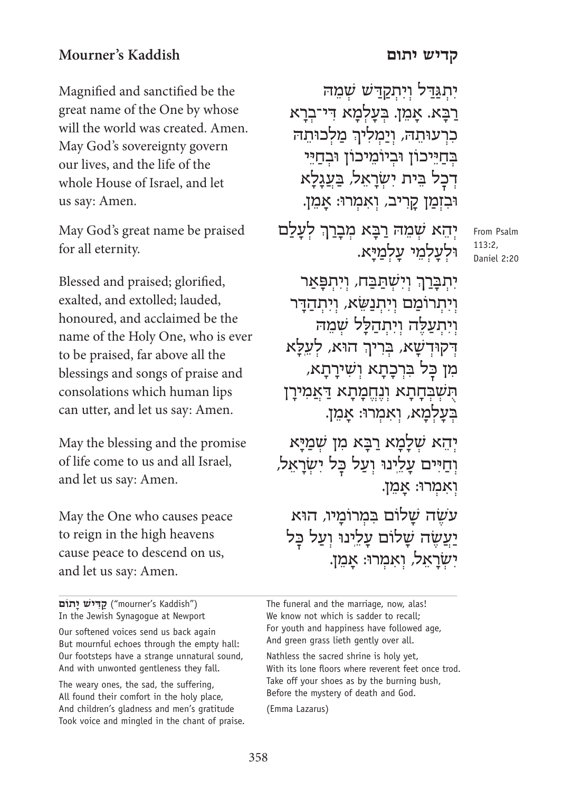## **קדיש יתום Kaddish s'Mourner**

Magnified and sanctified be the great name of the One by whose will the world was created. Amen. May God's sovereignty govern

our lives, and the life of the whole House of Israel, and let us say: Amen.

May God's great name be praised for all eternity.

Blessed and praised; glorified, exalted, and extolled; lauded, honoured, and acclaimed be the name of the Holy One, who is ever to be praised, far above all the blessings and songs of praise and consolations which human lips can utter, and let us say: Amen.

May the blessing and the promise of life come to us and all Israel, and let us say: Amen.

May the One who causes peace to reign in the high heavens cause peace to descend on us, and let us say: Amen.

("mourner's Kaddish") **קַדִּישׁ יַתוֹם** In the Jewish Synagogue at Newport

Our softened voices send us back again But mournful echoes through the empty hall: Our footsteps have a strange unnatural sound, And with unwonted gentleness they fall.

The weary ones, the sad, the suffering, All found their comfort in the holy place, And children's gladness and men's gratitude Took voice and mingled in the chant of praise.

יִתְגַּדַל וְיִתְקַדַ*'ש שְׁמֵ*ה רַבָּא. אַמֵן. בְּעַלְמַא דִּי־בְרַא כִרְעוּתֵה, וְיַמְלִיךְ מַלְכוּתֵה בְּחַיֵּכוֹן וּבְיוֹמֵיכוֹן וּבְחַיֵּי דְכַל בֵּית יִשְׂרָאֵל, בַעֲגַלַא וּבִ זְמַ ן קָ רִ יב, וְ אִ מְ רו:ּ אָ מֵ ן.

יְהֵא שְׁמֵה<sub>ֹ</sub> רַבְּא מְבָרַךְ לְעָלַם וּלְעַלְמֵי עַלְמַיָּא.

From Psalm 113:2, Daniel 2:20

יִתְּבְּרַךְ וְיִשְׁתַּבַּח, וְיִתְ<mark>פָּאַר</mark> וְ יִתְ רוֹמַ ם וְ יִתְ נַשֵּ ׂא, וְ יִתְ הַ דָּ ר וְיִתְעַלֶּה וְיִתְהַלָּל שְׁמֵה ּ א ְ הוּא, לְ עֵ ֽלָ דְ ּ קוּדְ שָׁ א, בְּ רִ יך מִן כַּל בִּרְכָתָא וְשִׁירָתָא, ֿ הָשְׁבְּחָתָא וְנֶחֱמָתָא דַּאֲמִירָן בְעַלְמָא, וְאִמְרוּ: אֲמֵן.

יְהֵא שָׁלַמַא רַבַּא מִן שְׁמַיַּא וְחַיִּים עַלֵינוּ וְעַל כַּל יִשְׂרָאֵל, וְ אִ מְ רו:ּ אָ מֵ ן.

עֹשׂה שַׁלוֹם בִּמְרוֹמִיו, הוּא יַעֲשֶׁה שַלוֹם עַלֵינוּ וְעַל כַּל יִשְרַאֲל, וְאִמְרוּ: אַמֵן.

The funeral and the marriage, now, alas! We know not which is sadder to recall; For youth and happiness have followed age, And green grass lieth gently over all.

Nathless the sacred shrine is holy yet, With its lone floors where reverent feet once trod. Take off your shoes as by the burning bush, Before the mystery of death and God.

(Emma Lazarus)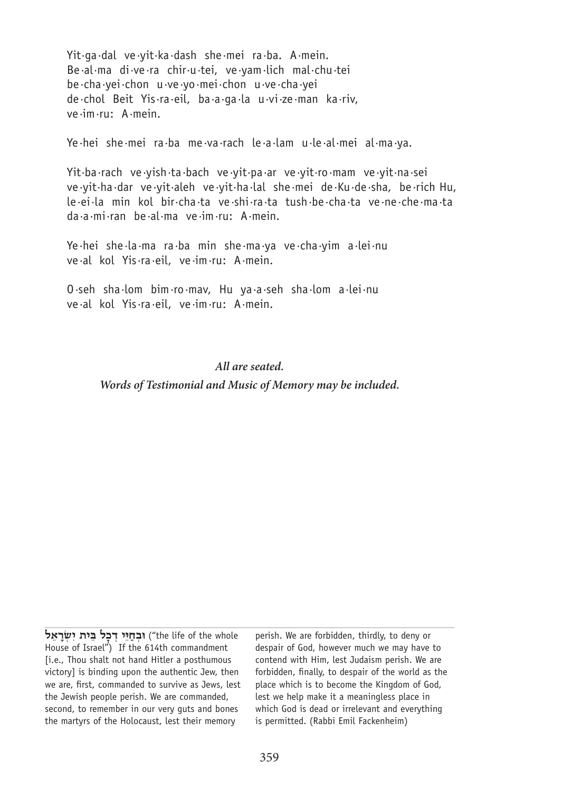$Yit-qa-dal$  ve yit·ka dash she mei ra ba. A mein. Be·al·ma di·ve·ra chir·u·tei, ve·yam·lich mal·chu·tei be·cha·yei·chon u·ve·yo·mei·chon u·ve·cha·yei de chol Beit Yis·ra·eil, ba·a·ga·la u·vi·ze·man ka·riv, ve·im·ru: A·mein.

Ye·hei she·mei ra·ba me·va·rach le·a·lam u·le·al·mei al·ma·ya.

Yit·ba·rach ve·yish·ta·bach ve·yit·pa·ar ve·yit·ro·mam ve·yit·na·sei ve yit ha dar ve yit aleh ve yit ha lal she mei de Ku de sha, be rich Hu, te·ei·la min kol bir·cha·ta ve·shi·ra·ta tush·be·cha·ta ve·ne·che·ma·ta  $da \cdot a \cdot mi \cdot ran$  be  $\cdot al \cdot ma$  ve  $\cdot im \cdot ru$ : A mein.

Ye·hei she·la·ma ra·ba min she·ma·ya ve·cha·yim a·lei·nu ve·al kol Yis·ra·eil, ve·im·ru: A·mein.

O·seh sha·lom bim·ro·mav, Hu ya·a·seh sha·lom a·lei·nu ve·al kol Yis·ra·eil, ve·im·ru: A·mein.

#### *All are seated.*

Words of Testimonial and Music of Memory may be included.

fthe life of the whole וּבְחַיֵּי דְכָל בֵּית יִשְׂרַאֵל House of Israel") If the 614th commandment [i.e., Thou shalt not hand Hitler a posthumous victoryl is binding upon the authentic Jew, then we are, first, commanded to survive as Jews, lest the Jewish people perish. We are commanded, second, to remember in our very quts and bones the martyrs of the Holocaust, lest their memory

perish. We are forbidden, thirdly, to deny or despair of God, however much we may have to contend with Him, lest Judaism perish. We are forbidden, finally, to despair of the world as the place which is to become the Kingdom of God, lest we help make it a meaningless place in which God is dead or irrelevant and everything is permitted. (Rabbi Emil Fackenheim)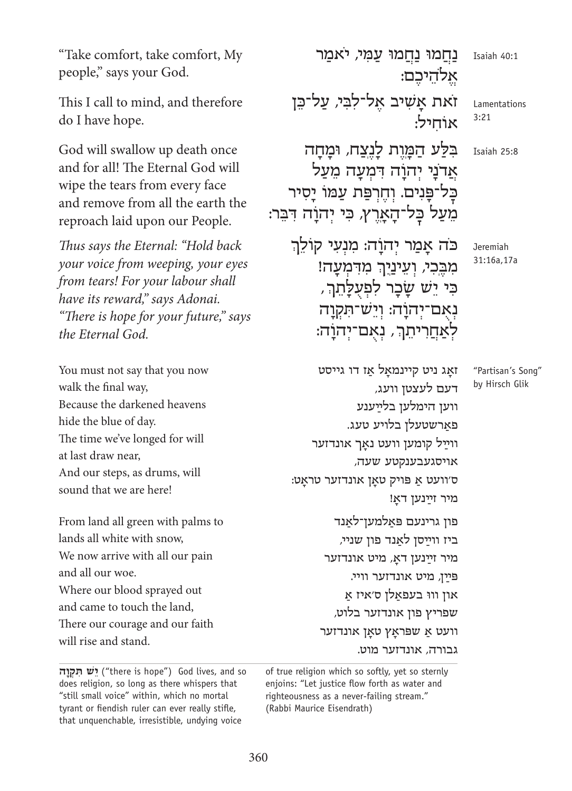"Take comfort, take comfort, My people," says your God.

This I call to mind, and therefore do I have hope.

God will swallow up death once and for all! The Eternal God will wipe the tears from every face and remove from all the earth the reproach laid upon our People.

*Thus says the Eternal: "Hold back your voice from weeping, your eyes from tears! For your labour shall* have its reward," says Adonai. "There is hope for your future," says *the Eternal God.* 

You must not say that you now walk the final way, Because the darkened heavens hide the blue of day. The time we've longed for will at last draw near, And our steps, as drums, will sound that we are here!

From land all green with palms to lands all white with snow, We now arrive with all our pain and all our woe. Where our blood sprayed out and came to touch the land, There our courage and our faith will rise and stand.

Isaiah 40:1 Lamentations 3:21 25:8 Isaiah Jeremiah נַחֲמוּ נַחֲמוּ עַמִּי, יֹאמר אֱלֹהֵיכִם: זֹאת אַשִׁיב אֵל־לִבִּי, עַל־כֵּן אוֹחיל: ּ בִּלַּע הַמֲוֶת לָנֶצַח, וּמָחָה אֲדֹנַי יְהוַׂה דִּמְעַה מֵעַל כַּל־פַּנִים. וְחֵרִפַּת עַמוֹ יַסְיר מִעַל כַּל־הָאֲרֶץ, כִּי יְהוַה דִּבֵּר: ֧֧֖֧֚֚֝֝֬<u>֚</u>

כֹּה אַמַר יְהוַה: מִנְעַי קוֹלֵךְ .<br>מִבֶּֽכִי, וְעֵינַיָךְ מִדִמְעָה! ּכִּי יֵשׁ שֶבָר לִפְעָלָ<u>ת</u>ְךָ, נְאָם־יְהוָה: וְיֵש־תִּקְוָה .<br>לְאַחֲרִיתֵך, נְאָם־יְהֹנָה:

זאַג ניט קיינמאַל אַז דו גייסט דעם לעצטן וועג, ווען הימלען בלײַ ענע פאַרשטעלן בלויע טעג. ווײַל קומען וועט נאַך אונדזער אויסגעבענקטע שעה, ּ וועט אַ פּויק טאַן אונדזער טראַט: מיר זײַנען דאַ! פון גרינעם פּאַלמען־לאַנד ביז ווײַ סן לאַ נד פון שניי, מיר זײַ נען דאָ , מיט אונדזער פּ ײַ ן, מיט אונדזער וויי. און וווּ בעפאַ לן ס'איז אַ שפריץ פון אונדזער בלוט, וועט אַ שפּראַץ טאַן אונדזער גבורה, אונדזער מוט.

31:16a,17a

"Partisan's Song" by Hirsch Glik

 so and ,lives God") hope is there ("**ּ יֵ שׁ ת ִ קְ וָ ה** does religion, so long as there whispers that "still small voice" within, which no mortal tyrant or fiendish ruler can ever really stifle, that unquenchable, irresistible, undying voice

of true religion which so softly, yet so sternly enjoins: "Let justice flow forth as water and righteousness as a never-failing stream." (Rabbi Maurice Eisendrath)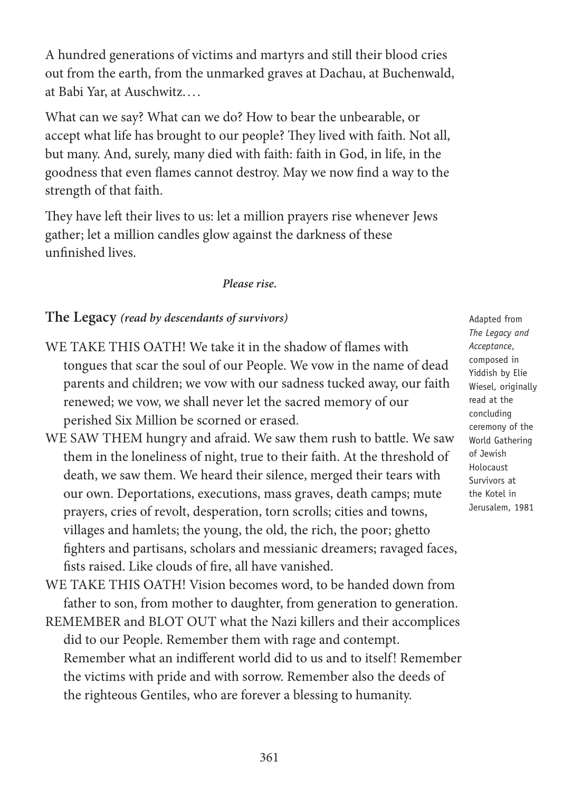A hundred generations of victims and martyrs and still their blood cries out from the earth, from the unmarked graves at Dachau, at Buchenwald, at Babi Yar, at Auschwitz....

What can we say? What can we do? How to bear the unbearable, or accept what life has brought to our people? They lived with faith. Not all, but many. And, surely, many died with faith: faith in God, in life, in the goodness that even flames cannot destroy. May we now find a way to the strength of that faith.

They have left their lives to us: let a million prayers rise whenever Jews gather; let a million candles glow against the darkness of these unfinished lives.

*Please* rise.

### *(The Legacy (read by descendants of survivors)*

- WE TAKE THIS OATH! We take it in the shadow of flames with tongues that scar the soul of our People. We vow in the name of dead parents and children; we vow with our sadness tucked away, our faith renewed; we vow, we shall never let the sacred memory of our perished Six Million be scorned or erased.
- WE SAW THEM hungry and afraid. We saw them rush to battle. We saw them in the loneliness of night, true to their faith. At the threshold of death, we saw them. We heard their silence, merged their tears with our own. Deportations, executions, mass graves, death camps; mute prayers, cries of revolt, desperation, torn scrolls; cities and towns, villages and hamlets; the young, the old, the rich, the poor; ghetto fighters and partisans, scholars and messianic dreamers; ravaged faces, fists raised. Like clouds of fire, all have vanished.
- WE TAKE THIS OATH! Vision becomes word, to be handed down from father to son, from mother to daughter, from generation to generation.
- REMEMBER and BLOT OUT what the Nazi killers and their accomplices did to our People. Remember them with rage and contempt. Remember what an indifferent world did to us and to itself! Remember the victims with pride and with sorrow. Remember also the deeds of the righteous Gentiles, who are forever a blessing to humanity.

Adapted from The Legacy and ,*Acceptance* composed in Yiddish by Elie Wiesel, originally read at the concluding ceremony of the World Gathering of Jewish Holocaust Survivors at the Kotel in Jerusalem, 1981